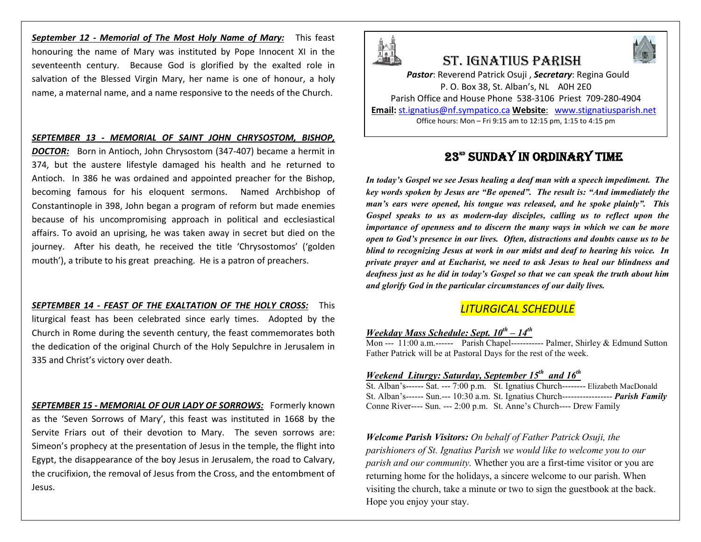*September 12 - Memorial of The Most Holy Name of Mary:* This feast honouring the name of Mary was instituted by Pope Innocent XI in the seventeenth century. Because God is glorified by the exalted role in salvation of the Blessed Virgin Mary, her name is one of honour, a holy name, a maternal name, and a name responsive to the needs of the Church.

#### *SEPTEMBER 13 - MEMORIAL OF SAINT JOHN CHRYSOSTOM, BISHOP,*

*DOCTOR:* Born in Antioch, John Chrysostom (347-407) became a hermit in 374, but the austere lifestyle damaged his health and he returned to Antioch. In 386 he was ordained and appointed preacher for the Bishop, becoming famous for his eloquent sermons. Named Archbishop of Constantinople in 398, John began a program of reform but made enemies because of his uncompromising approach in political and ecclesiastical affairs. To avoid an uprising, he was taken away in secret but died on the journey. After his death, he received the title 'Chrysostomos' ('golden mouth'), a tribute to his great preaching. He is a patron of preachers.

*SEPTEMBER 14 - FEAST OF THE EXALTATION OF THE HOLY CROSS:* This liturgical feast has been celebrated since early times. Adopted by the Church in Rome during the seventh century, the feast commemorates both the dedication of the original Church of the Holy Sepulchre in Jerusalem in 335 and Christ's victory over death.

*SEPTEMBER 15 - MEMORIAL OF OUR LADY OF SORROWS:* Formerly known as the 'Seven Sorrows of Mary', this feast was instituted in 1668 by the Servite Friars out of their devotion to Mary. The seven sorrows are: Simeon's prophecy at the presentation of Jesus in the temple, the flight into Egypt, the disappearance of the boy Jesus in Jerusalem, the road to Calvary, the crucifixion, the removal of Jesus from the Cross, and the entombment of Jesus.



# St. IgnatIuS parISh

*Pastor*: Reverend Patrick Osuji , *Secretary*: Regina Gould P. O. Box 38, St. Alban's, NL A0H 2E0 Parish Office and House Phone 538-3106 Priest 709-280-4904 **Email:** st.ignatius@nf.sympatico.ca **Website**: www.stignatiusparish.net Office hours: Mon – Fri 9:15 am to 12:15 pm, 1:15 to 4:15 pm

23<sup>ed</sup> SUNDAY IN ORDINARY TIME

*In today's Gospel we see Jesus healing a deaf man with a speech impediment. The key words spoken by Jesus are "Be opened". The result is: "And immediately the man's ears were opened, his tongue was released, and he spoke plainly". This Gospel speaks to us as modern-day disciples, calling us to reflect upon the importance of openness and to discern the many ways in which we can be more open to God's presence in our lives. Often, distractions and doubts cause us to be blind to recognizing Jesus at work in our midst and deaf to hearing his voice. In private prayer and at Eucharist, we need to ask Jesus to heal our blindness and deafness just as he did in today's Gospel so that we can speak the truth about him and glorify God in the particular circumstances of our daily lives.*

# *LITURGICAL SCHEDULE*

#### *Weekday Mass Schedule: Sept. 10th – 14th*

Mon --- 11:00 a.m.------ Parish Chapel----------- Palmer, Shirley & Edmund Sutton Father Patrick will be at Pastoral Days for the rest of the week.

#### *Weekend Liturgy: Saturday, September 15th and 16th*

St. Alban's------ Sat. --- 7:00 p.m. St. Ignatius Church-------- Elizabeth MacDonald St. Alban's------ Sun.--- 10:30 a.m. St. Ignatius Church----------------- *Parish Family* Conne River---- Sun. --- 2:00 p.m. St. Anne's Church---- Drew Family

*Welcome Parish Visitors: On behalf of Father Patrick Osuji, the parishioners of St. Ignatius Parish we would like to welcome you to our parish and our community.* Whether you are a first-time visitor or you are returning home for the holidays, a sincere welcome to our parish. When visiting the church, take a minute or two to sign the guestbook at the back. Hope you enjoy your stay.

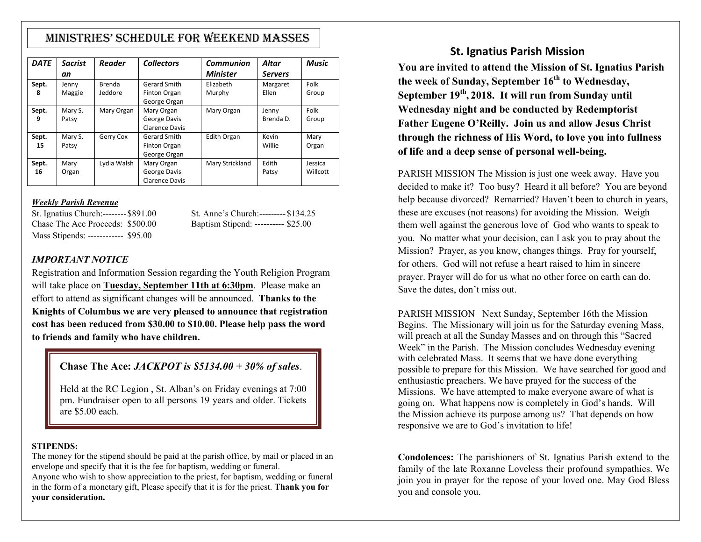# MInIStrIeS' Schedule for Weekend MaSSeS

| <b>DATE</b> | <b>Sacrist</b> | Reader      | <b>Collectors</b>     | Communion       | Altar          | <b>Music</b> |
|-------------|----------------|-------------|-----------------------|-----------------|----------------|--------------|
|             | an             |             |                       | <b>Minister</b> | <b>Servers</b> |              |
| Sept.       | Jenny          | Brenda      | Gerard Smith          | Elizabeth       | Margaret       | Folk         |
| 8           | Maggie         | Jeddore     | Finton Organ          | Murphy          | Ellen          | Group        |
|             |                |             | George Organ          |                 |                |              |
| Sept.       | Mary S.        | Mary Organ  | Mary Organ            | Mary Organ      | Jenny          | Folk         |
| 9           | Patsy          |             | George Davis          |                 | Brenda D.      | Group        |
|             |                |             | Clarence Davis        |                 |                |              |
| Sept.       | Mary S.        | Gerry Cox   | Gerard Smith          | Edith Organ     | Kevin          | Mary         |
| 15          | Patsy          |             | Finton Organ          |                 | Willie         | Organ        |
|             |                |             | George Organ          |                 |                |              |
| Sept.       | Mary           | Lydia Walsh | Mary Organ            | Mary Strickland | Edith          | Jessica      |
| 16          | Organ          |             | George Davis          |                 | Patsy          | Willcott     |
|             |                |             | <b>Clarence Davis</b> |                 |                |              |

## *Weekly Parish Revenue*

St. Ignatius Church:--------\$891.00 St. Anne's Church:---------\$134.25 Chase The Ace Proceeds: \$500.00 Baptism Stipend: ---------- \$25.00 Mass Stipends: ------------ \$95.00

### *IMPORTANT NOTICE*

Registration and Information Session regarding the Youth Religion Program will take place on **Tuesday, September 11th at 6:30pm**. Please make an effort to attend as significant changes will be announced. **Thanks to the Knights of Columbus we are very pleased to announce that registration cost has been reduced from \$30.00 to \$10.00. Please help pass the word to friends and family who have children.** 

## **Chase The Ace:** *JACKPOT is \$5134.00 + 30% of sales*.

Held at the RC Legion , St. Alban's on Friday evenings at 7:00 pm. Fundraiser open to all persons 19 years and older. Tickets are \$5.00 each.

#### **STIPENDS:**

The money for the stipend should be paid at the parish office, by mail or placed in an envelope and specify that it is the fee for baptism, wedding or funeral.

Anyone who wish to show appreciation to the priest, for baptism, wedding or funeral in the form of a monetary gift, Please specify that it is for the priest. **Thank you for your consideration.**

## **St. Ignatius Parish Mission**

**You are invited to attend the Mission of St. Ignatius Parish the week of Sunday, September 16th to Wednesday, September 19th, 2018. It will run from Sunday until Wednesday night and be conducted by Redemptorist Father Eugene O'Reilly. Join us and allow Jesus Christ through the richness of His Word, to love you into fullness of life and a deep sense of personal well-being.**

PARISH MISSION The Mission is just one week away. Have you decided to make it? Too busy? Heard it all before? You are beyond help because divorced? Remarried? Haven't been to church in years, these are excuses (not reasons) for avoiding the Mission. Weigh them well against the generous love of God who wants to speak to you. No matter what your decision, can I ask you to pray about the Mission? Prayer, as you know, changes things. Pray for yourself, for others. God will not refuse a heart raised to him in sincere prayer. Prayer will do for us what no other force on earth can do. Save the dates, don't miss out.

PARISH MISSION Next Sunday, September 16th the Mission Begins. The Missionary will join us for the Saturday evening Mass, will preach at all the Sunday Masses and on through this "Sacred Week" in the Parish. The Mission concludes Wednesday evening with celebrated Mass. It seems that we have done everything possible to prepare for this Mission. We have searched for good and enthusiastic preachers. We have prayed for the success of the Missions. We have attempted to make everyone aware of what is going on. What happens now is completely in God's hands. Will the Mission achieve its purpose among us? That depends on how responsive we are to God's invitation to life!

**Condolences:** The parishioners of St. Ignatius Parish extend to the family of the late Roxanne Loveless their profound sympathies. We join you in prayer for the repose of your loved one. May God Bless you and console you.